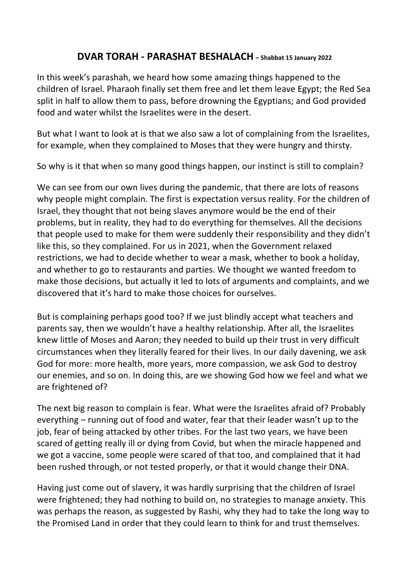## **DVAR TORAH - PARASHAT BESHALACH – Shabbat <sup>15</sup> January <sup>2022</sup>**

In this week's parashah, we heard how some amazing things happened to the children of Israel. Pharaoh finally set them free and let them leave Egypt; the Red Sea split in half to allow them to pass, before drowning the Egyptians; and God provided food and water whilst the Israelites were in the desert.

But what I want to look at is that we also saw a lot of complaining from the Israelites, for example, when they complained to Moses that they were hungry and thirsty.

So why is it that when so many good things happen, our instinct is still to complain?

We can see from our own lives during the pandemic, that there are lots of reasons why people might complain. The first is expectation versus reality. For the children of Israel, they thought that not being slaves anymore would be the end of their problems, but in reality, they had to do everything for themselves. All the decisions that people used to make for them were suddenly their responsibility and they didn't like this, so they complained. For us in 2021, when the Government relaxed restrictions, we had to decide whether to wear a mask, whether to book a holiday, and whether to go to restaurants and parties. We thought we wanted freedom to make those decisions, but actually it led to lots of arguments and complaints, and we discovered that it's hard to make those choices for ourselves.

But is complaining perhaps good too? If we just blindly accept what teachers and parents say, then we wouldn't have a healthy relationship. After all, the Israelites knew little of Moses and Aaron; they needed to build up their trust in very difficult circumstances when they literally feared for their lives. In our daily davening, we ask God for more: more health, more years, more compassion, we ask God to destroy our enemies, and so on. In doing this, are we showing God how we feel and what we are frightened of?

The next big reason to complain is fear. What were the Israelites afraid of? Probably everything – running out of food and water, fear that their leader wasn't up to the job, fear of being attacked by other tribes. For the last two years, we have been scared of getting really ill or dying from Covid, but when the miracle happened and we got a vaccine, some people were scared of that too, and complained that it had been rushed through, or not tested properly, or that it would change their DNA.

Having just come out of slavery, it was hardly surprising that the children of Israel were frightened; they had nothing to build on, no strategies to manage anxiety. This was perhaps the reason, as suggested by Rashi, why they had to take the long way to the Promised Land in order that they could learn to think for and trust themselves.